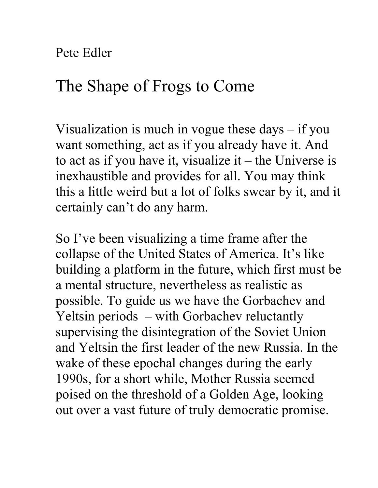Pete Edler

## The Shape of Frogs to Come

Visualization is much in vogue these days – if you want something, act as if you already have it. And to act as if you have it, visualize it  $-$  the Universe is inexhaustible and provides for all. You may think this a little weird but a lot of folks swear by it, and it certainly can't do any harm.

So I've been visualizing a time frame after the collapse of the United States of America. It's like building a platform in the future, which first must be a mental structure, nevertheless as realistic as possible. To guide us we have the Gorbachev and Yeltsin periods – with Gorbachev reluctantly supervising the disintegration of the Soviet Union and Yeltsin the first leader of the new Russia. In the wake of these epochal changes during the early 1990s, for a short while, Mother Russia seemed poised on the threshold of a Golden Age, looking out over a vast future of truly democratic promise.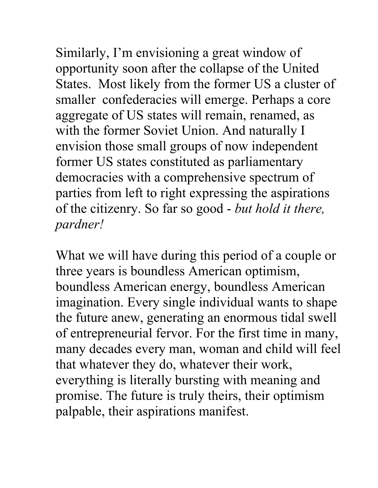Similarly, I'm envisioning a great window of opportunity soon after the collapse of the United States. Most likely from the former US a cluster of smaller confederacies will emerge. Perhaps a core aggregate of US states will remain, renamed, as with the former Soviet Union. And naturally I envision those small groups of now independent former US states constituted as parliamentary democracies with a comprehensive spectrum of parties from left to right expressing the aspirations of the citizenry. So far so good - *but hold it there, pardner!*

What we will have during this period of a couple or three years is boundless American optimism, boundless American energy, boundless American imagination. Every single individual wants to shape the future anew, generating an enormous tidal swell of entrepreneurial fervor. For the first time in many, many decades every man, woman and child will feel that whatever they do, whatever their work, everything is literally bursting with meaning and promise. The future is truly theirs, their optimism palpable, their aspirations manifest.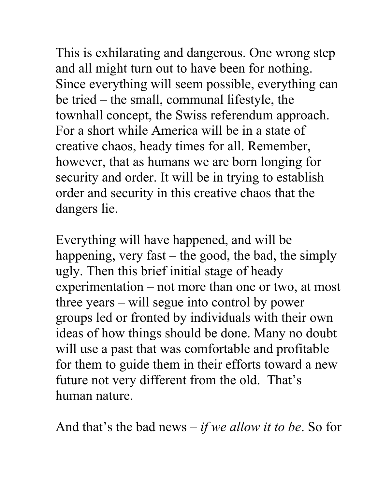This is exhilarating and dangerous. One wrong step and all might turn out to have been for nothing. Since everything will seem possible, everything can be tried – the small, communal lifestyle, the townhall concept, the Swiss referendum approach. For a short while America will be in a state of creative chaos, heady times for all. Remember, however, that as humans we are born longing for security and order. It will be in trying to establish order and security in this creative chaos that the dangers lie.

Everything will have happened, and will be happening, very fast  $-$  the good, the bad, the simply ugly. Then this brief initial stage of heady experimentation – not more than one or two, at most three years – will segue into control by power groups led or fronted by individuals with their own ideas of how things should be done. Many no doubt will use a past that was comfortable and profitable for them to guide them in their efforts toward a new future not very different from the old. That's human nature.

And that's the bad news – *if we allow it to be*. So for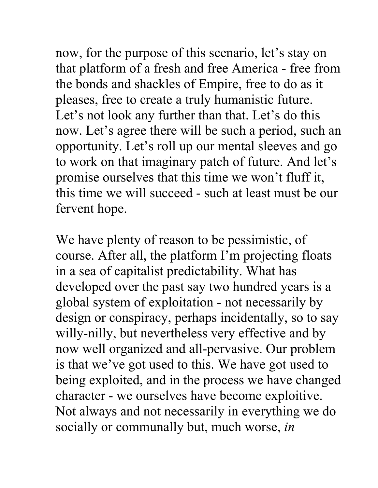now, for the purpose of this scenario, let's stay on that platform of a fresh and free America - free from the bonds and shackles of Empire, free to do as it pleases, free to create a truly humanistic future. Let's not look any further than that. Let's do this now. Let's agree there will be such a period, such an opportunity. Let's roll up our mental sleeves and go to work on that imaginary patch of future. And let's promise ourselves that this time we won't fluff it, this time we will succeed - such at least must be our fervent hope.

We have plenty of reason to be pessimistic, of course. After all, the platform I'm projecting floats in a sea of capitalist predictability. What has developed over the past say two hundred years is a global system of exploitation - not necessarily by design or conspiracy, perhaps incidentally, so to say willy-nilly, but nevertheless very effective and by now well organized and all-pervasive. Our problem is that we've got used to this. We have got used to being exploited, and in the process we have changed character - we ourselves have become exploitive. Not always and not necessarily in everything we do socially or communally but, much worse, *in*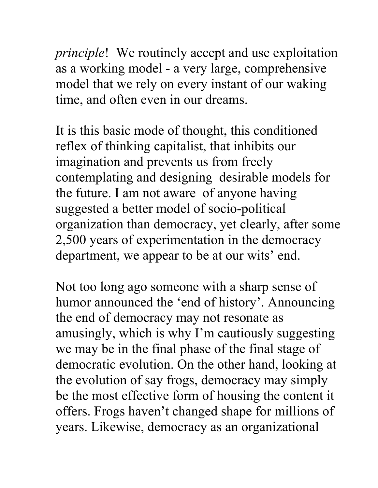*principle*! We routinely accept and use exploitation as a working model - a very large, comprehensive model that we rely on every instant of our waking time, and often even in our dreams.

It is this basic mode of thought, this conditioned reflex of thinking capitalist, that inhibits our imagination and prevents us from freely contemplating and designing desirable models for the future. I am not aware of anyone having suggested a better model of socio-political organization than democracy, yet clearly, after some 2,500 years of experimentation in the democracy department, we appear to be at our wits' end.

Not too long ago someone with a sharp sense of humor announced the 'end of history'. Announcing the end of democracy may not resonate as amusingly, which is why I'm cautiously suggesting we may be in the final phase of the final stage of democratic evolution. On the other hand, looking at the evolution of say frogs, democracy may simply be the most effective form of housing the content it offers. Frogs haven't changed shape for millions of years. Likewise, democracy as an organizational